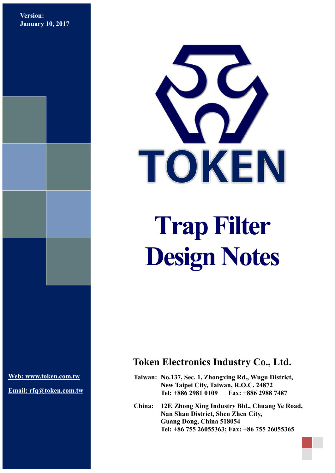**Version: January 10, 2017**



**Design Notes** 

**[Web: www.token.com.tw](http://www.token.com.tw/)**

**Email: rfq@token.com.tw**

## **Token Electronics Industry Co., Ltd.**

**Taiwan: No.137, Sec. 1, Zhongxing Rd., Wugu District, New Taipei City, Taiwan, R.O.C. 24872 Tel: +886 2981 0109 Fax: +886 2988 7487**

**China: 12F, Zhong Xing Industry Bld., Chuang Ye Road, Nan Shan District, Shen Zhen City, Guang Dong, China 518054 Tel: +86 755 26055363; Fax: +86 755 26055365**